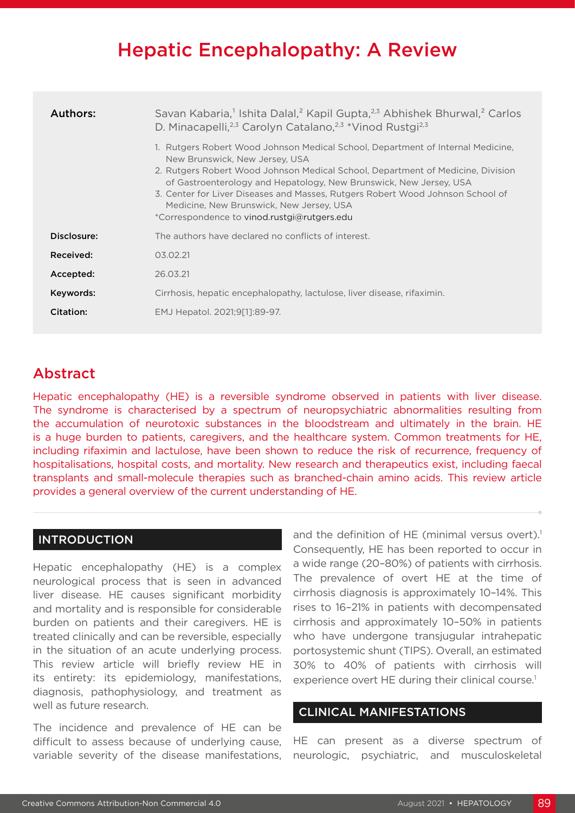# Hepatic Encephalopathy: A Review

| Authors:    | Savan Kabaria, <sup>1</sup> Ishita Dalal, <sup>2</sup> Kapil Gupta, <sup>2,3</sup> Abhishek Bhurwal, <sup>2</sup> Carlos<br>D. Minacapelli, <sup>2,3</sup> Carolyn Catalano, <sup>2,3</sup> *Vinod Rustgi <sup>2,3</sup><br>1. Rutgers Robert Wood Johnson Medical School, Department of Internal Medicine,                                                          |
|-------------|----------------------------------------------------------------------------------------------------------------------------------------------------------------------------------------------------------------------------------------------------------------------------------------------------------------------------------------------------------------------|
|             | New Brunswick, New Jersey, USA<br>2. Rutgers Robert Wood Johnson Medical School, Department of Medicine, Division<br>of Gastroenterology and Hepatology, New Brunswick, New Jersey, USA<br>3. Center for Liver Diseases and Masses, Rutgers Robert Wood Johnson School of<br>Medicine, New Brunswick, New Jersey, USA<br>*Correspondence to vinod.rustgi@rutgers.edu |
| Disclosure: | The authors have declared no conflicts of interest.                                                                                                                                                                                                                                                                                                                  |
| Received:   | 03.02.21                                                                                                                                                                                                                                                                                                                                                             |
| Accepted:   | 26.03.21                                                                                                                                                                                                                                                                                                                                                             |
| Keywords:   | Cirrhosis, hepatic encephalopathy, lactulose, liver disease, rifaximin.                                                                                                                                                                                                                                                                                              |
| Citation:   | EMJ Hepatol. 2021;9[1]:89-97.                                                                                                                                                                                                                                                                                                                                        |

## Abstract

Hepatic encephalopathy (HE) is a reversible syndrome observed in patients with liver disease. The syndrome is characterised by a spectrum of neuropsychiatric abnormalities resulting from the accumulation of neurotoxic substances in the bloodstream and ultimately in the brain. HE is a huge burden to patients, caregivers, and the healthcare system. Common treatments for HE, including rifaximin and lactulose, have been shown to reduce the risk of recurrence, frequency of hospitalisations, hospital costs, and mortality. New research and therapeutics exist, including faecal transplants and small-molecule therapies such as branched-chain amino acids. This review article provides a general overview of the current understanding of HE.

### INTRODUCTION

Hepatic encephalopathy (HE) is a complex neurological process that is seen in advanced liver disease. HE causes significant morbidity and mortality and is responsible for considerable burden on patients and their caregivers. HE is treated clinically and can be reversible, especially in the situation of an acute underlying process. This review article will briefly review HE in its entirety: its epidemiology, manifestations, diagnosis, pathophysiology, and treatment as well as future research.

The incidence and prevalence of HE can be difficult to assess because of underlying cause, variable severity of the disease manifestations, and the definition of HE (minimal versus overt).<sup>1</sup> Consequently, HE has been reported to occur in a wide range (20–80%) of patients with cirrhosis. The prevalence of overt HE at the time of cirrhosis diagnosis is approximately 10–14%. This rises to 16–21% in patients with decompensated cirrhosis and approximately 10–50% in patients who have undergone transjugular intrahepatic portosystemic shunt (TIPS). Overall, an estimated 30% to 40% of patients with cirrhosis will experience overt HE during their clinical course.<sup>1</sup>

### CLINICAL MANIFESTATIONS

HE can present as a diverse spectrum of neurologic, psychiatric, and musculoskeletal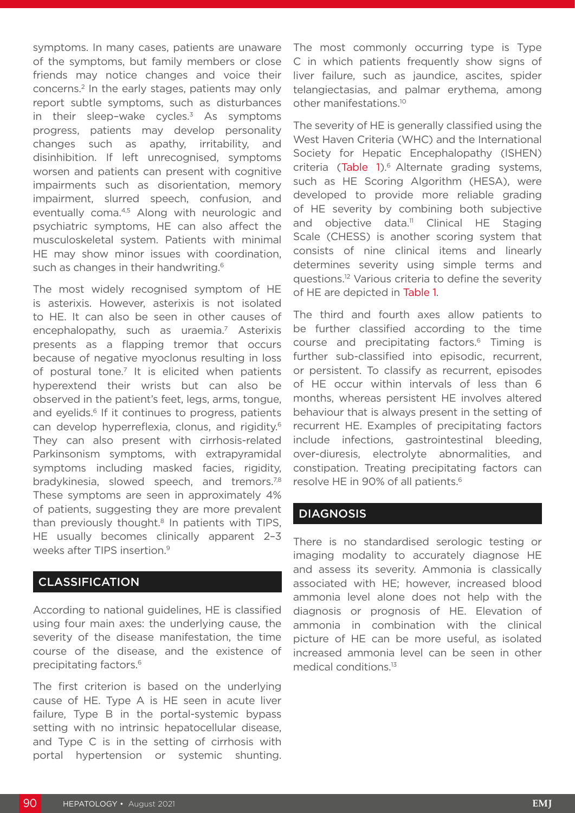symptoms. In many cases, patients are unaware of the symptoms, but family members or close friends may notice changes and voice their concerns.2 In the early stages, patients may only report subtle symptoms, such as disturbances in their sleep-wake cycles. $3$  As symptoms progress, patients may develop personality changes such as apathy, irritability, and disinhibition. If left unrecognised, symptoms worsen and patients can present with cognitive impairments such as disorientation, memory impairment, slurred speech, confusion, and eventually coma.4,5 Along with neurologic and psychiatric symptoms, HE can also affect the musculoskeletal system. Patients with minimal HE may show minor issues with coordination, such as changes in their handwriting.<sup>6</sup>

The most widely recognised symptom of HE is asterixis. However, asterixis is not isolated to HE. It can also be seen in other causes of encephalopathy, such as uraemia.<sup>7</sup> Asterixis presents as a flapping tremor that occurs because of negative myoclonus resulting in loss of postural tone.<sup>7</sup> It is elicited when patients hyperextend their wrists but can also be observed in the patient's feet, legs, arms, tongue, and eyelids.<sup>6</sup> If it continues to progress, patients can develop hyperreflexia, clonus, and rigidity.<sup>6</sup> They can also present with cirrhosis-related Parkinsonism symptoms, with extrapyramidal symptoms including masked facies, rigidity, bradykinesia, slowed speech, and tremors.<sup>7,8</sup> These symptoms are seen in approximately 4% of patients, suggesting they are more prevalent than previously thought.<sup>8</sup> In patients with TIPS, HE usually becomes clinically apparent 2–3 weeks after TIPS insertion.<sup>9</sup>

### CLASSIFICATION

According to national guidelines, HE is classified using four main axes: the underlying cause, the severity of the disease manifestation, the time course of the disease, and the existence of precipitating factors.<sup>6</sup>

The first criterion is based on the underlying cause of HE. Type A is HE seen in acute liver failure, Type B in the portal-systemic bypass setting with no intrinsic hepatocellular disease, and Type C is in the setting of cirrhosis with portal hypertension or systemic shunting.

The most commonly occurring type is Type C in which patients frequently show signs of liver failure, such as jaundice, ascites, spider telangiectasias, and palmar erythema, among other manifestations.10

The severity of HE is generally classified using the West Haven Criteria (WHC) and the International Society for Hepatic Encephalopathy (ISHEN) criteria (Table 1).<sup>6</sup> Alternate grading systems, such as HE Scoring Algorithm (HESA), were developed to provide more reliable grading of HE severity by combining both subjective and objective data.<sup>11</sup> Clinical HE Staging Scale (CHESS) is another scoring system that consists of nine clinical items and linearly determines severity using simple terms and questions.12 Various criteria to define the severity of HE are depicted in Table 1.

The third and fourth axes allow patients to be further classified according to the time course and precipitating factors.6 Timing is further sub-classified into episodic, recurrent, or persistent. To classify as recurrent, episodes of HE occur within intervals of less than 6 months, whereas persistent HE involves altered behaviour that is always present in the setting of recurrent HE. Examples of precipitating factors include infections, gastrointestinal bleeding, over-diuresis, electrolyte abnormalities, and constipation. Treating precipitating factors can resolve HE in 90% of all patients.<sup>6</sup>

### **DIAGNOSIS**

There is no standardised serologic testing or imaging modality to accurately diagnose HE and assess its severity. Ammonia is classically associated with HE; however, increased blood ammonia level alone does not help with the diagnosis or prognosis of HE. Elevation of ammonia in combination with the clinical picture of HE can be more useful, as isolated increased ammonia level can be seen in other medical conditions.13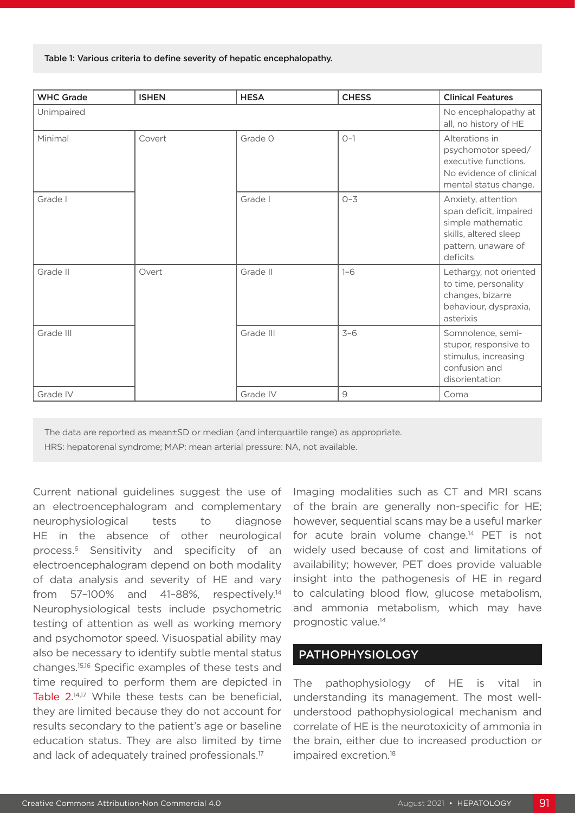Table 1: Various criteria to define severity of hepatic encephalopathy.

| <b>WHC Grade</b> | <b>ISHEN</b> | <b>HESA</b> | <b>CHESS</b> | <b>Clinical Features</b>                                                                                                      |
|------------------|--------------|-------------|--------------|-------------------------------------------------------------------------------------------------------------------------------|
| Unimpaired       |              |             |              | No encephalopathy at<br>all, no history of HE                                                                                 |
| Minimal          | Covert       | Grade O     | $O-1$        | Alterations in<br>psychomotor speed/<br>executive functions.<br>No evidence of clinical<br>mental status change.              |
| Grade I          |              | Grade I     | $O - 3$      | Anxiety, attention<br>span deficit, impaired<br>simple mathematic<br>skills, altered sleep<br>pattern, unaware of<br>deficits |
| Grade II         | Overt        | Grade II    | $1 - 6$      | Lethargy, not oriented<br>to time, personality<br>changes, bizarre<br>behaviour, dyspraxia,<br>asterixis                      |
| Grade III        |              | Grade III   | $3 - 6$      | Somnolence, semi-<br>stupor, responsive to<br>stimulus, increasing<br>confusion and<br>disorientation                         |
| Grade IV         |              | Grade IV    | 9            | Coma                                                                                                                          |

The data are reported as mean±SD or median (and interquartile range) as appropriate. HRS: hepatorenal syndrome; MAP: mean arterial pressure: NA, not available.

Current national guidelines suggest the use of an electroencephalogram and complementary neurophysiological tests to diagnose HE in the absence of other neurological process.6 Sensitivity and specificity of an electroencephalogram depend on both modality of data analysis and severity of HE and vary from 57–100% and 41–88%, respectively.14 Neurophysiological tests include psychometric testing of attention as well as working memory and psychomotor speed. Visuospatial ability may also be necessary to identify subtle mental status changes.15,16 Specific examples of these tests and time required to perform them are depicted in Table 2. 14,17 While these tests can be beneficial, they are limited because they do not account for results secondary to the patient's age or baseline education status. They are also limited by time and lack of adequately trained professionals.<sup>17</sup>

Imaging modalities such as CT and MRI scans of the brain are generally non-specific for HE; however, sequential scans may be a useful marker for acute brain volume change.14 PET is not widely used because of cost and limitations of availability; however, PET does provide valuable insight into the pathogenesis of HE in regard to calculating blood flow, glucose metabolism, and ammonia metabolism, which may have prognostic value.14

### PATHOPHYSIOLOGY

The pathophysiology of HE is vital in understanding its management. The most wellunderstood pathophysiological mechanism and correlate of HE is the neurotoxicity of ammonia in the brain, either due to increased production or impaired excretion.<sup>18</sup>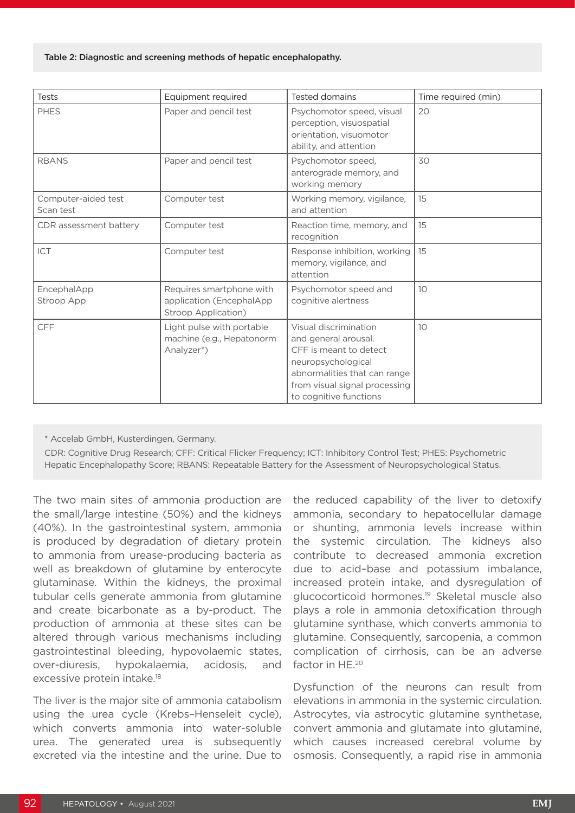#### Table 2: Diagnostic and screening methods of hepatic encephalopathy.

| <b>Tests</b>                     | Equipment required                                                           | Tested domains                                                                                                                                                                           | Time required (min) |
|----------------------------------|------------------------------------------------------------------------------|------------------------------------------------------------------------------------------------------------------------------------------------------------------------------------------|---------------------|
| <b>PHES</b>                      | Paper and pencil test                                                        | Psychomotor speed, visual<br>perception, visuospatial<br>orientation, visuomotor<br>ability, and attention                                                                               | 20                  |
| <b>RBANS</b>                     | Paper and pencil test                                                        | Psychomotor speed,<br>anterograde memory, and<br>working memory                                                                                                                          | 30                  |
| Computer-aided test<br>Scan test | Computer test                                                                | Working memory, vigilance,<br>and attention                                                                                                                                              | 15                  |
| CDR assessment battery           | Computer test                                                                | Reaction time, memory, and<br>recognition                                                                                                                                                | 15                  |
| ICT                              | Computer test                                                                | Response inhibition, working<br>memory, vigilance, and<br>attention                                                                                                                      | 15                  |
| EncephalApp<br><b>Stroop App</b> | Requires smartphone with<br>application (EncephalApp)<br>Stroop Application) | Psychomotor speed and<br>cognitive alertness                                                                                                                                             | 10                  |
| <b>CFF</b>                       | Light pulse with portable<br>machine (e.g., Hepatonorm<br>Analyzer*)         | Visual discrimination<br>and general arousal.<br>CFF is meant to detect<br>neuropsychological<br>abnormalities that can range<br>from visual signal processing<br>to cognitive functions | 10                  |

\* Accelab GmbH, Kusterdingen, Germany.

CDR: Cognitive Drug Research; CFF: Critical Flicker Frequency; ICT: Inhibitory Control Test; PHES: Psychometric Hepatic Encephalopathy Score; RBANS: Repeatable Battery for the Assessment of Neuropsychological Status.

The two main sites of ammonia production are the small/large intestine (50%) and the kidneys (40%). In the gastrointestinal system, ammonia is produced by degradation of dietary protein to ammonia from urease-producing bacteria as well as breakdown of glutamine by enterocyte glutaminase. Within the kidneys, the proximal tubular cells generate ammonia from glutamine and create bicarbonate as a by-product. The production of ammonia at these sites can be altered through various mechanisms including gastrointestinal bleeding, hypovolaemic states, over-diuresis, hypokalaemia, acidosis, and excessive protein intake.<sup>18</sup>

The liver is the major site of ammonia catabolism using the urea cycle (Krebs–Henseleit cycle), which converts ammonia into water-soluble urea. The generated urea is subsequently excreted via the intestine and the urine. Due to

the reduced capability of the liver to detoxify ammonia, secondary to hepatocellular damage or shunting, ammonia levels increase within the systemic circulation. The kidneys also contribute to decreased ammonia excretion due to acid–base and potassium imbalance, increased protein intake, and dysregulation of glucocorticoid hormones.19 Skeletal muscle also plays a role in ammonia detoxification through glutamine synthase, which converts ammonia to glutamine. Consequently, sarcopenia, a common complication of cirrhosis, can be an adverse factor in HE.<sup>20</sup>

Dysfunction of the neurons can result from elevations in ammonia in the systemic circulation. Astrocytes, via astrocytic glutamine synthetase, convert ammonia and glutamate into glutamine, which causes increased cerebral volume by osmosis. Consequently, a rapid rise in ammonia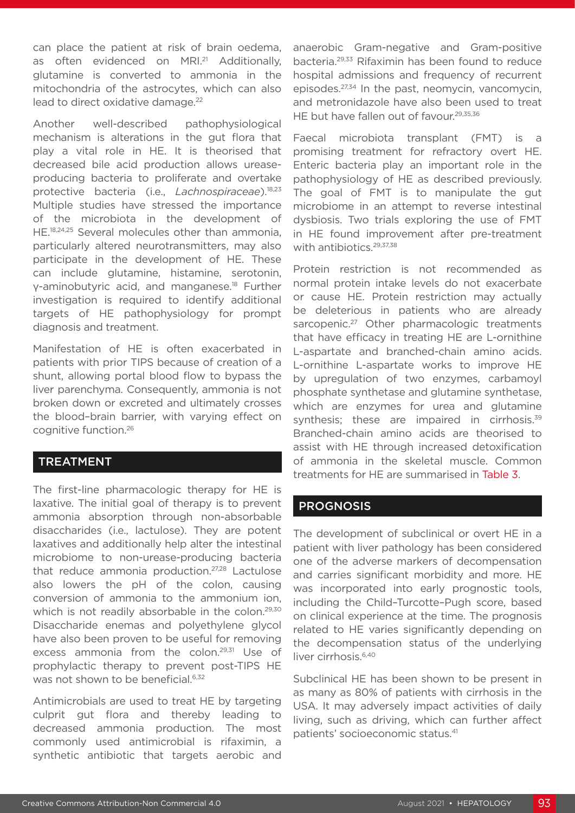can place the patient at risk of brain oedema, as often evidenced on MRI.<sup>21</sup> Additionally, glutamine is converted to ammonia in the mitochondria of the astrocytes, which can also lead to direct oxidative damage.<sup>22</sup>

Another well-described pathophysiological mechanism is alterations in the gut flora that play a vital role in HE. It is theorised that decreased bile acid production allows ureaseproducing bacteria to proliferate and overtake protective bacteria (i.e., *Lachnospiraceae*).<sup>18,23</sup> Multiple studies have stressed the importance of the microbiota in the development of HE.18,24,25 Several molecules other than ammonia, particularly altered neurotransmitters, may also participate in the development of HE. These can include glutamine, histamine, serotonin, γ-aminobutyric acid, and manganese.18 Further investigation is required to identify additional targets of HE pathophysiology for prompt diagnosis and treatment.

Manifestation of HE is often exacerbated in patients with prior TIPS because of creation of a shunt, allowing portal blood flow to bypass the liver parenchyma. Consequently, ammonia is not broken down or excreted and ultimately crosses the blood–brain barrier, with varying effect on cognitive function.26

### TREATMENT

The first-line pharmacologic therapy for HE is laxative. The initial goal of therapy is to prevent ammonia absorption through non-absorbable disaccharides (i.e., lactulose). They are potent laxatives and additionally help alter the intestinal microbiome to non-urease-producing bacteria that reduce ammonia production.27,28 Lactulose also lowers the pH of the colon, causing conversion of ammonia to the ammonium ion, which is not readily absorbable in the colon.<sup>29,30</sup> Disaccharide enemas and polyethylene glycol have also been proven to be useful for removing excess ammonia from the colon.<sup>29,31</sup> Use of prophylactic therapy to prevent post-TIPS HE was not shown to be beneficial.<sup>6,32</sup>

Antimicrobials are used to treat HE by targeting culprit gut flora and thereby leading to decreased ammonia production. The most commonly used antimicrobial is rifaximin, a synthetic antibiotic that targets aerobic and

anaerobic Gram-negative and Gram-positive bacteria.29,33 Rifaximin has been found to reduce hospital admissions and frequency of recurrent episodes.27,34 In the past, neomycin, vancomycin, and metronidazole have also been used to treat HE but have fallen out of favour.<sup>29,35,36</sup>

Faecal microbiota transplant (FMT) is a promising treatment for refractory overt HE. Enteric bacteria play an important role in the pathophysiology of HE as described previously. The goal of FMT is to manipulate the gut microbiome in an attempt to reverse intestinal dysbiosis. Two trials exploring the use of FMT in HE found improvement after pre-treatment with antibiotics.<sup>29,37,38</sup>

Protein restriction is not recommended as normal protein intake levels do not exacerbate or cause HE. Protein restriction may actually be deleterious in patients who are already sarcopenic.<sup>27</sup> Other pharmacologic treatments that have efficacy in treating HE are L-ornithine L-aspartate and branched-chain amino acids. L-ornithine L-aspartate works to improve HE by upregulation of two enzymes, carbamoyl phosphate synthetase and glutamine synthetase, which are enzymes for urea and glutamine synthesis; these are impaired in cirrhosis.<sup>39</sup> Branched-chain amino acids are theorised to assist with HE through increased detoxification of ammonia in the skeletal muscle. Common treatments for HE are summarised in Table 3.

### **PROGNOSIS**

The development of subclinical or overt HE in a patient with liver pathology has been considered one of the adverse markers of decompensation and carries significant morbidity and more. HE was incorporated into early prognostic tools, including the Child–Turcotte–Pugh score, based on clinical experience at the time. The prognosis related to HE varies significantly depending on the decompensation status of the underlying liver cirrhosis.<sup>6,40</sup>

Subclinical HE has been shown to be present in as many as 80% of patients with cirrhosis in the USA. It may adversely impact activities of daily living, such as driving, which can further affect patients' socioeconomic status.41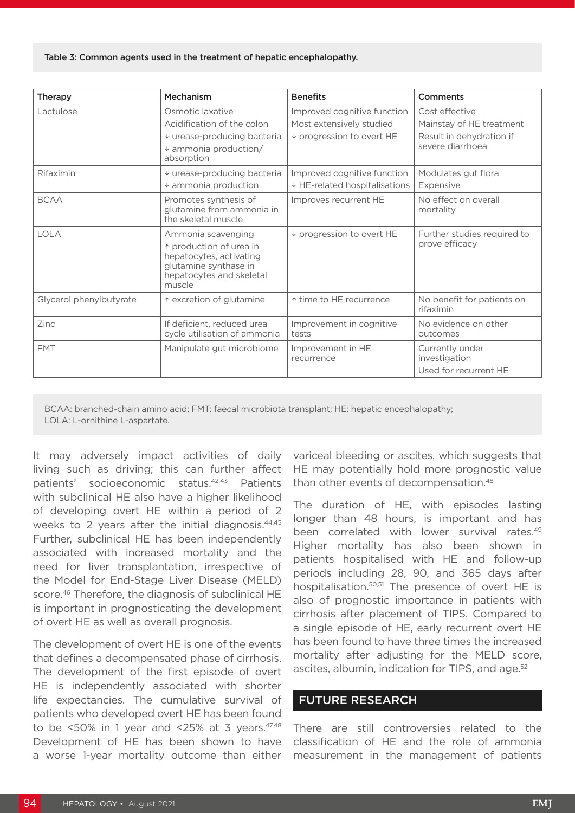#### Table 3: Common agents used in the treatment of hepatic encephalopathy.

| <b>Therapy</b>          | Mechanism                                                                                                                               | <b>Benefits</b>                                                                           | Comments                                                                                   |
|-------------------------|-----------------------------------------------------------------------------------------------------------------------------------------|-------------------------------------------------------------------------------------------|--------------------------------------------------------------------------------------------|
| Lactulose               | Osmotic laxative<br>Acidification of the colon<br>$\downarrow$ urease-producing bacteria<br>$\ast$ ammonia production/<br>absorption    | Improved cognitive function<br>Most extensively studied<br>$\vee$ progression to overt HE | Cost effective<br>Mainstay of HE treatment<br>Result in dehydration if<br>severe diarrhoea |
| Rifaximin               | ↓ urease-producing bacteria<br>$\ast$ ammonia production                                                                                | Improved cognitive function<br>↓ HE-related hospitalisations                              | Modulates gut flora<br>Expensive                                                           |
| <b>BCAA</b>             | Promotes synthesis of<br>glutamine from ammonia in<br>the skeletal muscle                                                               | Improves recurrent HE                                                                     | No effect on overall<br>mortality                                                          |
| <b>LOLA</b>             | Ammonia scavenging<br>↑ production of urea in<br>hepatocytes, activating<br>glutamine synthase in<br>hepatocytes and skeletal<br>muscle | $\vee$ progression to overt HE                                                            | Further studies required to<br>prove efficacy                                              |
| Glycerol phenylbutyrate | ↑ excretion of glutamine                                                                                                                | ↑ time to HE recurrence                                                                   | No benefit for patients on<br>rifaximin                                                    |
| Zinc                    | If deficient, reduced urea<br>cycle utilisation of ammonia                                                                              | Improvement in cognitive<br>tests                                                         | No evidence on other<br>outcomes                                                           |
| <b>FMT</b>              | Manipulate gut microbiome                                                                                                               | Improvement in HE<br>recurrence                                                           | Currently under<br>investigation<br>Used for recurrent HE                                  |

BCAA: branched-chain amino acid; FMT: faecal microbiota transplant; HE: hepatic encephalopathy; LOLA: L-ornithine L-aspartate.

It may adversely impact activities of daily living such as driving; this can further affect patients' socioeconomic status.42,43 Patients with subclinical HE also have a higher likelihood of developing overt HE within a period of 2 weeks to 2 years after the initial diagnosis.<sup>44,45</sup> Further, subclinical HE has been independently associated with increased mortality and the need for liver transplantation, irrespective of the Model for End-Stage Liver Disease (MELD) score.<sup>46</sup> Therefore, the diagnosis of subclinical HE is important in prognosticating the development of overt HE as well as overall prognosis.

The development of overt HE is one of the events that defines a decompensated phase of cirrhosis. The development of the first episode of overt HE is independently associated with shorter life expectancies. The cumulative survival of patients who developed overt HE has been found to be  $<50\%$  in 1 year and  $<25\%$  at 3 years.  $47,48$ Development of HE has been shown to have a worse 1-year mortality outcome than either variceal bleeding or ascites, which suggests that HE may potentially hold more prognostic value than other events of decompensation.<sup>48</sup>

The duration of HE, with episodes lasting longer than 48 hours, is important and has been correlated with lower survival rates.<sup>49</sup> Higher mortality has also been shown in patients hospitalised with HE and follow-up periods including 28, 90, and 365 days after hospitalisation.<sup>50,51</sup> The presence of overt HE is also of prognostic importance in patients with cirrhosis after placement of TIPS. Compared to a single episode of HE, early recurrent overt HE has been found to have three times the increased mortality after adjusting for the MELD score, ascites, albumin, indication for TIPS, and age.<sup>52</sup>

### FUTURE RESEARCH

There are still controversies related to the classification of HE and the role of ammonia measurement in the management of patients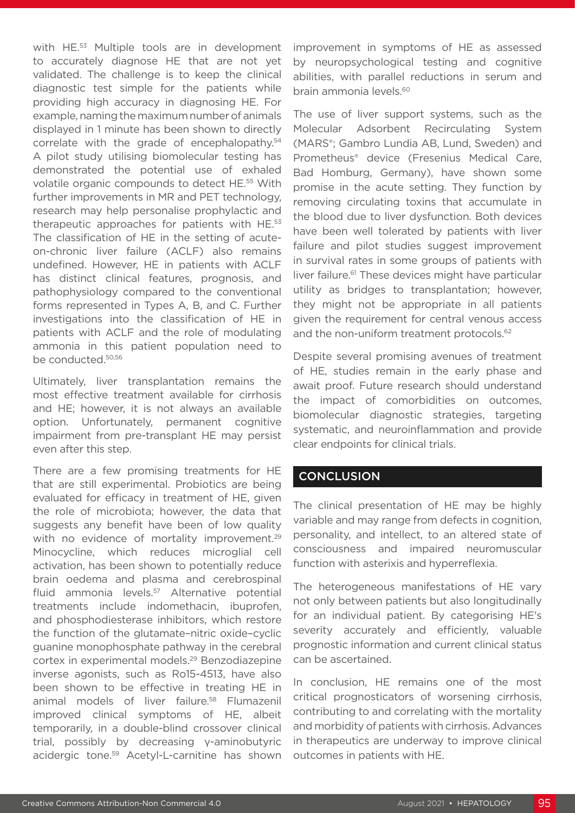with HE.<sup>53</sup> Multiple tools are in development to accurately diagnose HE that are not yet validated. The challenge is to keep the clinical diagnostic test simple for the patients while providing high accuracy in diagnosing HE. For example, naming the maximum number of animals displayed in 1 minute has been shown to directly correlate with the grade of encephalopathy.<sup>54</sup> A pilot study utilising biomolecular testing has demonstrated the potential use of exhaled volatile organic compounds to detect HE.55 With further improvements in MR and PET technology, research may help personalise prophylactic and therapeutic approaches for patients with HE.53 The classification of HE in the setting of acuteon-chronic liver failure (ACLF) also remains undefined. However, HE in patients with ACLF has distinct clinical features, prognosis, and pathophysiology compared to the conventional forms represented in Types A, B, and C. Further investigations into the classification of HE in patients with ACLF and the role of modulating ammonia in this patient population need to be conducted.50,56

Ultimately, liver transplantation remains the most effective treatment available for cirrhosis and HE; however, it is not always an available option. Unfortunately, permanent cognitive impairment from pre-transplant HE may persist even after this step.

There are a few promising treatments for HE that are still experimental. Probiotics are being evaluated for efficacy in treatment of HE, given the role of microbiota; however, the data that suggests any benefit have been of low quality with no evidence of mortality improvement.<sup>29</sup> Minocycline, which reduces microglial cell activation, has been shown to potentially reduce brain oedema and plasma and cerebrospinal fluid ammonia levels.57 Alternative potential treatments include indomethacin, ibuprofen, and phosphodiesterase inhibitors, which restore the function of the glutamate–nitric oxide–cyclic guanine monophosphate pathway in the cerebral cortex in experimental models.29 Benzodiazepine inverse agonists, such as Ro15-4513, have also been shown to be effective in treating HE in animal models of liver failure.<sup>58</sup> Flumazenil improved clinical symptoms of HE, albeit temporarily, in a double-blind crossover clinical trial, possibly by decreasing γ-aminobutyric acidergic tone.59 Acetyl-L-carnitine has shown

improvement in symptoms of HE as assessed by neuropsychological testing and cognitive abilities, with parallel reductions in serum and brain ammonia levels.60

The use of liver support systems, such as the Molecular Adsorbent Recirculating System (MARS®; Gambro Lundia AB, Lund, Sweden) and Prometheus® device (Fresenius Medical Care, Bad Homburg, Germany), have shown some promise in the acute setting. They function by removing circulating toxins that accumulate in the blood due to liver dysfunction. Both devices have been well tolerated by patients with liver failure and pilot studies suggest improvement in survival rates in some groups of patients with liver failure.<sup>61</sup> These devices might have particular utility as bridges to transplantation; however, they might not be appropriate in all patients given the requirement for central venous access and the non-uniform treatment protocols.<sup>62</sup>

Despite several promising avenues of treatment of HE, studies remain in the early phase and await proof. Future research should understand the impact of comorbidities on outcomes, biomolecular diagnostic strategies, targeting systematic, and neuroinflammation and provide clear endpoints for clinical trials.

### **CONCLUSION**

The clinical presentation of HE may be highly variable and may range from defects in cognition, personality, and intellect, to an altered state of consciousness and impaired neuromuscular function with asterixis and hyperreflexia.

The heterogeneous manifestations of HE vary not only between patients but also longitudinally for an individual patient. By categorising HE's severity accurately and efficiently, valuable prognostic information and current clinical status can be ascertained.

In conclusion, HE remains one of the most critical prognosticators of worsening cirrhosis, contributing to and correlating with the mortality and morbidity of patients with cirrhosis. Advances in therapeutics are underway to improve clinical outcomes in patients with HE.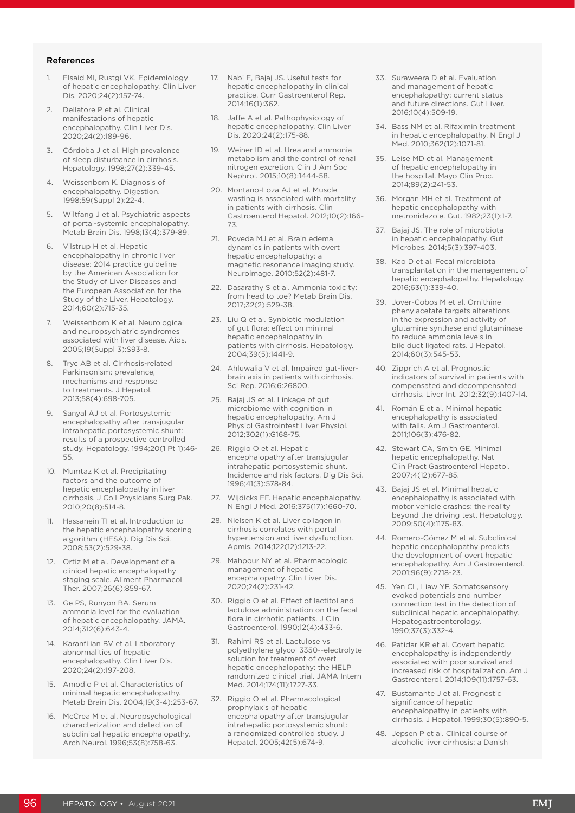#### References

- 1. Elsaid MI, Rustgi VK. Epidemiology of hepatic encephalopathy. Clin Liver Dis. 2020;24(2):157-74.
- 2. Dellatore P et al. Clinical manifestations of hepatic encephalopathy. Clin Liver Dis. 2020;24(2):189-96.
- Córdoba J et al. High prevalence of sleep disturbance in cirrhosis. Hepatology. 1998;27(2):339-45.
- 4. Weissenborn K. Diagnosis of encephalopathy. Digestion. 1998;59(Suppl 2):22-4.
- 5. Wiltfang J et al. Psychiatric aspects of portal-systemic encephalopathy. Metab Brain Dis. 1998;13(4):379-89.
- Vilstrup H et al. Hepatic encephalopathy in chronic liver disease: 2014 practice guideline by the American Association for the Study of Liver Diseases and the European Association for the Study of the Liver. Hepatology. 2014;60(2):715-35.
- Weissenborn K et al. Neurological and neuropsychiatric syndromes associated with liver disease. Aids. 2005;19(Suppl 3):S93-8.
- 8. Tryc AB et al. Cirrhosis-related Parkinsonism: prevalence, mechanisms and response to treatments. J Hepatol. 2013;58(4):698-705.
- 9. Sanyal AJ et al. Portosystemic encephalopathy after transjugular intrahepatic portosystemic shunt: results of a prospective controlled study. Hepatology. 1994;20(1 Pt 1):46- 55.
- 10. Mumtaz K et al. Precipitating factors and the outcome of hepatic encephalopathy in liver cirrhosis. J Coll Physicians Surg Pak. 2010;20(8):514-8.
- 11. Hassanein TI et al. Introduction to the hepatic encephalopathy scoring algorithm (HESA). Dig Dis Sci. 2008;53(2):529-38.
- 12. Ortiz M et al. Development of a clinical hepatic encephalopathy staging scale. Aliment Pharmacol Ther. 2007;26(6):859-67.
- 13. Ge PS, Runyon BA. Serum ammonia level for the evaluation of hepatic encephalopathy. JAMA. 2014;312(6):643-4.
- 14. Karanfilian BV et al. Laboratory abnormalities of hepatic encephalopathy. Clin Liver Dis. 2020;24(2):197-208.
- 15. Amodio P et al. Characteristics of minimal hepatic encephalopathy. Metab Brain Dis. 2004;19(3-4):253-67.
- 16. McCrea M et al. Neuropsychological characterization and detection of subclinical hepatic encephalopathy. Arch Neurol. 1996;53(8):758-63.
- 17. Nabi E, Bajaj JS. Useful tests for hepatic encephalopathy in clinical practice. Curr Gastroenterol Rep.  $2014.16(1):362.$
- 18. Jaffe A et al. Pathophysiology of hepatic encephalopathy. Clin Liver Dis. 2020;24(2):175-88.
- 19. Weiner ID et al. Urea and ammonia metabolism and the control of renal nitrogen excretion. Clin J Am Soc Nephrol. 2015;10(8):1444-58.
- 20. Montano-Loza AJ et al. Muscle wasting is associated with mortality in patients with cirrhosis. Clin Gastroenterol Hepatol. 2012;10(2):166- 73.
- 21. Poveda MJ et al. Brain edema dynamics in patients with overt hepatic encephalopathy: a magnetic resonance imaging study. Neuroimage. 2010;52(2):481-7.
- 22. Dasarathy S et al. Ammonia toxicity: from head to toe? Metab Brain Dis. 2017;32(2):529-38.
- 23. Liu Q et al. Synbiotic modulation of gut flora: effect on minimal hepatic encephalopathy in patients with cirrhosis. Hepatology. 2004;39(5):1441-9.
- 24. Ahluwalia V et al. Impaired gut-liverbrain axis in patients with cirrhosis. Sci Rep. 2016;6:26800.
- 25. Bajaj JS et al. Linkage of gut microbiome with cognition in hepatic encephalopathy. Am J Physiol Gastrointest Liver Physiol. 2012;302(1):G168-75.
- 26. Riggio O et al. Hepatic encephalopathy after transjugular intrahepatic portosystemic shunt. Incidence and risk factors. Dig Dis Sci. 1996;41(3):578-84.
- 27. Wijdicks EF. Hepatic encephalopathy. N Engl J Med. 2016;375(17):1660-70.
- 28. Nielsen K et al. Liver collagen in cirrhosis correlates with portal hypertension and liver dysfunction. Apmis. 2014;122(12):1213-22.
- 29. Mahpour NY et al. Pharmacologic management of hepatic encephalopathy. Clin Liver Dis. 2020;24(2):231-42.
- 30. Riggio O et al. Effect of lactitol and lactulose administration on the fecal flora in cirrhotic patients. J Clin Gastroenterol. 1990;12(4):433-6.
- 31. Rahimi RS et al. Lactulose vs polyethylene glycol 3350--electrolyte solution for treatment of overt hepatic encephalopathy: the HELP randomized clinical trial. JAMA Intern Med. 2014;174(11):1727-33.
- 32. Riggio O et al. Pharmacological prophylaxis of hepatic encephalopathy after transjugular intrahepatic portosystemic shunt: a randomized controlled study. J Hepatol. 2005;42(5):674-9.
- 33. Suraweera D et al. Evaluation and management of hepatic encephalopathy: current status and future directions. Gut Liver. 2016;10(4):509-19.
- 34. Bass NM et al. Rifaximin treatment in hepatic encephalopathy. N Engl J Med. 2010;362(12):1071-81.
- 35. Leise MD et al. Management of hepatic encephalopathy in the hospital. Mayo Clin Proc. 2014;89(2):241-53.
- 36. Morgan MH et al. Treatment of hepatic encephalopathy with metronidazole. Gut. 1982;23(1):1-7.
- 37. Bajaj JS. The role of microbiota in hepatic encephalopathy. Gut Microbes. 2014;5(3):397-403.
- 38. Kao D et al. Fecal microbiota transplantation in the management of hepatic encephalopathy. Hepatology. 2016;63(1):339-40.
- 39. Jover-Cobos M et al. Ornithine phenylacetate targets alterations in the expression and activity of glutamine synthase and glutaminase to reduce ammonia levels in bile duct ligated rats. J Hepatol. 2014;60(3):545-53.
- 40. Zipprich A et al. Prognostic indicators of survival in patients with compensated and decompensated cirrhosis. Liver Int. 2012;32(9):1407-14.
- 41. Román E et al. Minimal hepatic encephalopathy is associated with falls. Am J Gastroenterol. 2011;106(3):476-82.
- 42. Stewart CA, Smith GE. Minimal hepatic encephalopathy. Nat Clin Pract Gastroenterol Hepatol. 2007;4(12):677-85.
- 43. Bajaj JS et al. Minimal hepatic encephalopathy is associated with motor vehicle crashes: the reality beyond the driving test. Hepatology. 2009;50(4):1175-83.
- 44. Romero-Gómez M et al. Subclinical hepatic encephalopathy predicts the development of overt hepatic encephalopathy. Am J Gastroenterol. 2001;96(9):2718-23.
- 45. Yen CL, Liaw YF. Somatosensory evoked potentials and number connection test in the detection of subclinical hepatic encephalopathy. Hepatogastroenterology. 1990;37(3):332-4.
- 46. Patidar KR et al. Covert hepatic encephalopathy is independently associated with poor survival and increased risk of hospitalization. Am J Gastroenterol. 2014;109(11):1757-63.
- 47. Bustamante J et al. Prognostic significance of hepatic encephalopathy in patients with cirrhosis. J Hepatol. 1999;30(5):890-5.
- 48. Jepsen P et al. Clinical course of alcoholic liver cirrhosis: a Danish